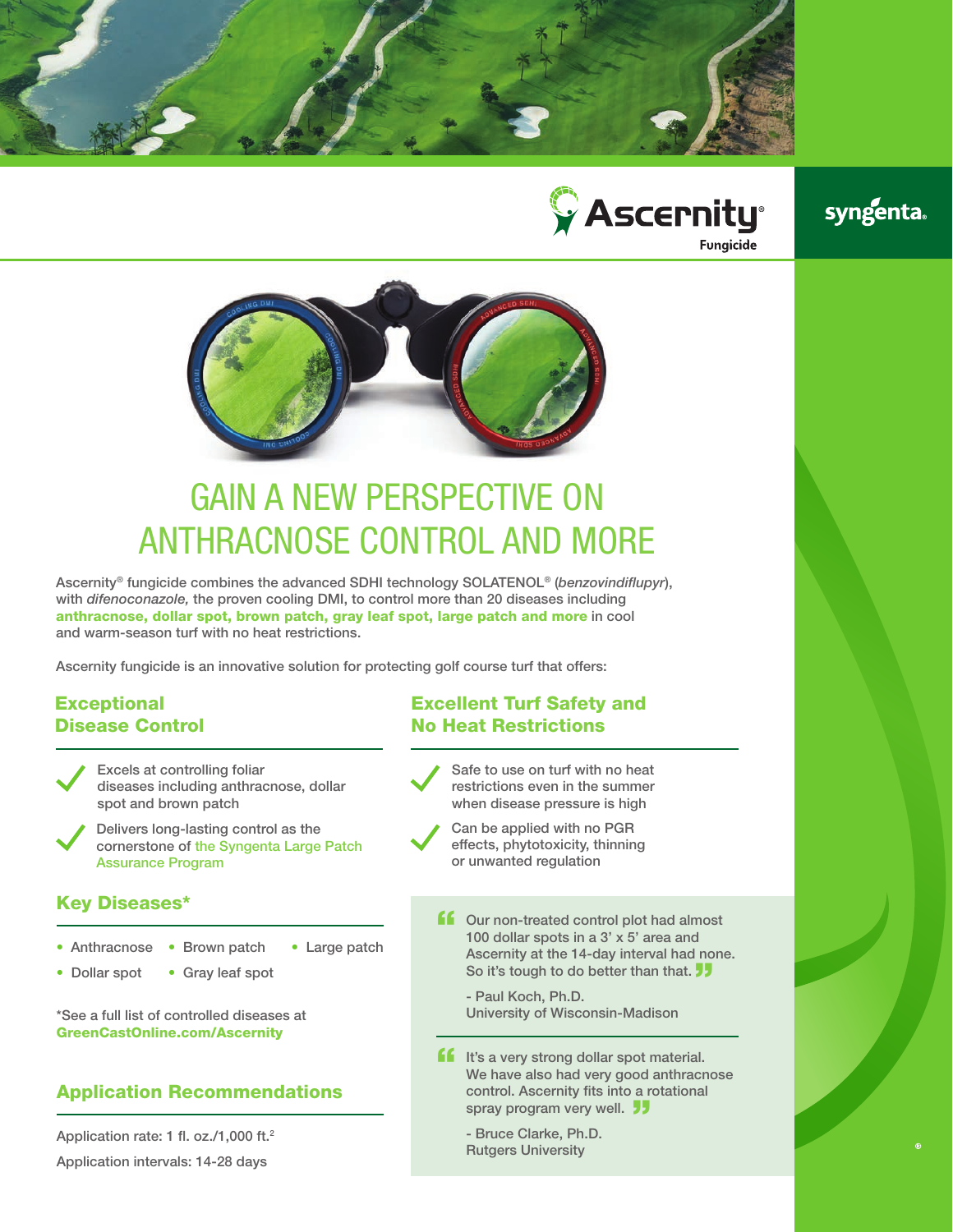



## **syngenta**



# GAIN A NEW PERSPECTIVE ON ANTHRACNOSE CONTROL AND MORE

Ascernity® fungicide combines the advanced SDHI technology SOLATENOL® (*benzovindiflupyr*), with *difenoconazole,* the proven cooling DMI, to control more than 20 diseases including anthracnose, dollar spot, brown patch, gray leaf spot, large patch and more in cool and warm-season turf with no heat restrictions.

Ascernity fungicide is an innovative solution for protecting golf course turf that offers:

#### **Exceptional** Disease Control

- Excels at controlling foliar diseases including anthracnose, dollar spot and brown patch
- Delivers long-lasting control as the cornerstone of the Syngenta Large Patch Assurance Program

#### Key Diseases\*

- " Anthracnose Brown patch Large patch
- Dollar spot • Gray leaf spot

\*See a full list of controlled diseases at GreenCastOnline.com/Ascernity

#### Application Recommendations

Application rate: 1 fl. oz./1,000 ft.2

#### Application intervals: 14-28 days

### Excellent Turf Safety and No Heat Restrictions

- Safe to use on turf with no heat restrictions even in the summer when disease pressure is high
- Can be applied with no PGR effects, phytotoxicity, thinning or unwanted regulation
- **ff** Our non-treated control plot had almost 100 dollar spots in a 3' x 5' area and Ascernity at the 14-day interval had none. So it's tough to do better than that.  $\overline{\phantom{a}}$

- Paul Koch, Ph.D. University of Wisconsin-Madison

**ff** It's a very strong dollar spot material.<br>We have also had very good anthracn We have also had very good anthracnose control. Ascernity fits into a rotational spray program very well. <sup>11</sup>

- Bruce Clarke, Ph.D. Rutgers University